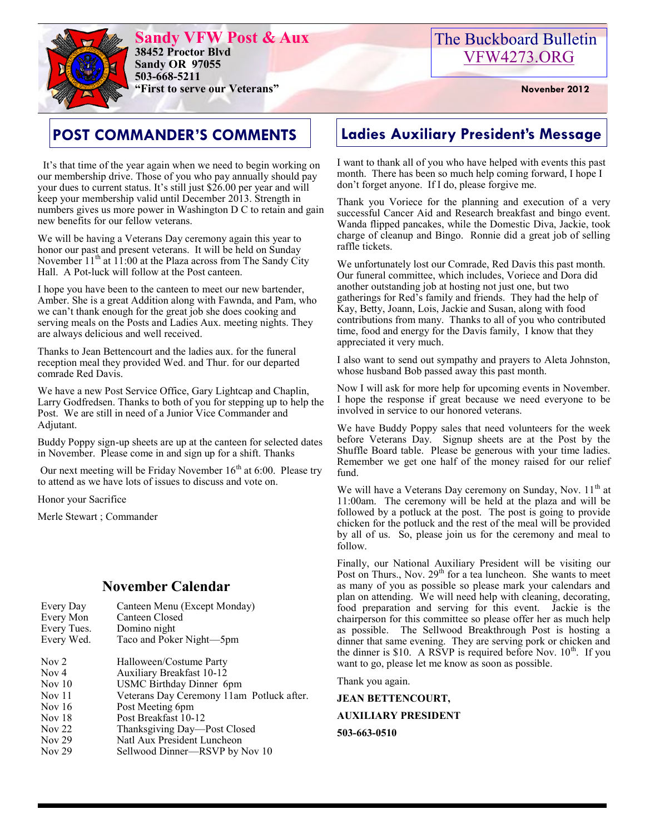

**Sandy VFW Post & Aux 38452 Proctor Blvd Sandy OR 97055 503-668-5211 "First to serve our Veterans" Novenber 2012** 

 It's that time of the year again when we need to begin working on our membership drive. Those of you who pay annually should pay your dues to current status. It's still just \$26.00 per year and will keep your membership valid until December 2013. Strength in numbers gives us more power in Washington D C to retain and gain new benefits for our fellow veterans.

We will be having a Veterans Day ceremony again this year to honor our past and present veterans. It will be held on Sunday November  $11<sup>th</sup>$  at  $11:00$  at the Plaza across from The Sandy City Hall. A Pot-luck will follow at the Post canteen.

I hope you have been to the canteen to meet our new bartender, Amber. She is a great Addition along with Fawnda, and Pam, who we can't thank enough for the great job she does cooking and serving meals on the Posts and Ladies Aux. meeting nights. They are always delicious and well received.

Thanks to Jean Bettencourt and the ladies aux. for the funeral reception meal they provided Wed. and Thur. for our departed comrade Red Davis.

We have a new Post Service Office, Gary Lightcap and Chaplin, Larry Godfredsen. Thanks to both of you for stepping up to help the Post. We are still in need of a Junior Vice Commander and Adjutant.

Buddy Poppy sign-up sheets are up at the canteen for selected dates in November. Please come in and sign up for a shift. Thanks

Our next meeting will be Friday November  $16<sup>th</sup>$  at 6:00. Please try to attend as we have lots of issues to discuss and vote on.

Honor your Sacrifice

Merle Stewart ; Commander

#### **November Calendar**

| Every Day        | Canteen Menu (Except Monday)              |
|------------------|-------------------------------------------|
| Every Mon        | Canteen Closed                            |
| Every Tues.      | Domino night                              |
| Every Wed.       | Taco and Poker Night-5pm                  |
| Nov <sub>2</sub> | Halloween/Costume Party                   |
| Nov 4            | <b>Auxiliary Breakfast 10-12</b>          |
| Nov 10           | USMC Birthday Dinner 6pm                  |
| <b>Nov</b> 11    | Veterans Day Ceremony 11am Potluck after. |
| Nov $16$         | Post Meeting 6pm                          |
| Nov $18$         | Post Breakfast 10-12                      |
| <b>Nov 22</b>    | Thanksgiving Day—Post Closed              |
| Nov $29$         | Natl Aux President Luncheon               |
| <b>Nov 29</b>    | Sellwood Dinner—RSVP by Nov 10            |

## **POST COMMANDER'S COMMENTS Ladies Auxiliary President's Message**

I want to thank all of you who have helped with events this past month. There has been so much help coming forward, I hope I don't forget anyone. If I do, please forgive me.

Thank you Voriece for the planning and execution of a very successful Cancer Aid and Research breakfast and bingo event. Wanda flipped pancakes, while the Domestic Diva, Jackie, took charge of cleanup and Bingo. Ronnie did a great job of selling raffle tickets.

We unfortunately lost our Comrade, Red Davis this past month. Our funeral committee, which includes, Voriece and Dora did another outstanding job at hosting not just one, but two gatherings for Red's family and friends. They had the help of Kay, Betty, Joann, Lois, Jackie and Susan, along with food contributions from many. Thanks to all of you who contributed time, food and energy for the Davis family, I know that they appreciated it very much.

I also want to send out sympathy and prayers to Aleta Johnston, whose husband Bob passed away this past month.

Now I will ask for more help for upcoming events in November. I hope the response if great because we need everyone to be involved in service to our honored veterans.

We have Buddy Poppy sales that need volunteers for the week before Veterans Day. Signup sheets are at the Post by the Shuffle Board table. Please be generous with your time ladies. Remember we get one half of the money raised for our relief fund.

We will have a Veterans Day ceremony on Sunday, Nov.  $11<sup>th</sup>$  at 11:00am. The ceremony will be held at the plaza and will be followed by a potluck at the post. The post is going to provide chicken for the potluck and the rest of the meal will be provided by all of us. So, please join us for the ceremony and meal to follow.

Finally, our National Auxiliary President will be visiting our Post on Thurs., Nov.  $29<sup>th</sup>$  for a tea luncheon. She wants to meet as many of you as possible so please mark your calendars and plan on attending. We will need help with cleaning, decorating, food preparation and serving for this event. Jackie is the chairperson for this committee so please offer her as much help as possible. The Sellwood Breakthrough Post is hosting a dinner that same evening. They are serving pork or chicken and the dinner is \$10. A RSVP is required before Nov.  $10^{th}$ . If you want to go, please let me know as soon as possible.

Thank you again.

**JEAN BETTENCOURT,** 

**AUXILIARY PRESIDENT 503-663-0510**

## The Buckboard Bulletin [VFW4273.ORG](http://vfw4273.org/)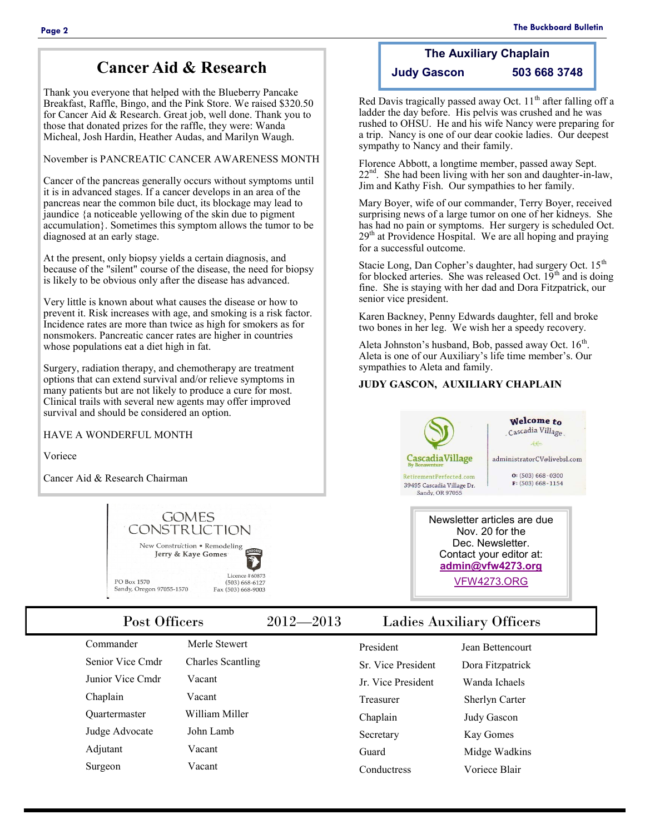Thank you everyone that helped with the Blueberry Pancake Breakfast, Raffle, Bingo, and the Pink Store. We raised \$320.50 for Cancer Aid & Research. Great job, well done. Thank you to those that donated prizes for the raffle, they were: Wanda Micheal, Josh Hardin, Heather Audas, and Marilyn Waugh.

November is PANCREATIC CANCER AWARENESS MONTH

Cancer of the pancreas generally occurs without symptoms until it is in advanced stages. If a cancer develops in an area of the pancreas near the common bile duct, its blockage may lead to jaundice {a noticeable yellowing of the skin due to pigment accumulation}. Sometimes this symptom allows the tumor to be diagnosed at an early stage.

At the present, only biopsy yields a certain diagnosis, and because of the "silent" course of the disease, the need for biopsy is likely to be obvious only after the disease has advanced.

Very little is known about what causes the disease or how to prevent it. Risk increases with age, and smoking is a risk factor. Incidence rates are more than twice as high for smokers as for nonsmokers. Pancreatic cancer rates are higher in countries whose populations eat a diet high in fat.

Surgery, radiation therapy, and chemotherapy are treatment options that can extend survival and/or relieve symptoms in many patients but are not likely to produce a cure for most. Clinical trails with several new agents may offer improved survival and should be considered an option.

HAVE A WONDERFUL MONTH

Voriece

Cancer Aid & Research Chairman



| Commander        |  |  |
|------------------|--|--|
| Senior Vice Cmdr |  |  |
| Junior Vice Cmdr |  |  |
| Chaplain         |  |  |
| Ouartermaster    |  |  |
| Judge Advocate   |  |  |
| Adjutant         |  |  |

Surgeon Vacant

Merle Stewert Charles Scantling Vacant Vacant William Miller John Lamb

Vacant

#### **The Auxiliary Chaplain Judy Gascon 503 668 3748**

Red Davis tragically passed away Oct.  $11<sup>th</sup>$  after falling off a ladder the day before. His pelvis was crushed and he was rushed to OHSU. He and his wife Nancy were preparing for a trip. Nancy is one of our dear cookie ladies. Our deepest sympathy to Nancy and their family.

Florence Abbott, a longtime member, passed away Sept.  $22<sup>nd</sup>$ . She had been living with her son and daughter-in-law, Jim and Kathy Fish. Our sympathies to her family.

Mary Boyer, wife of our commander, Terry Boyer, received surprising news of a large tumor on one of her kidneys. She has had no pain or symptoms. Her surgery is scheduled Oct. 29<sup>th</sup> at Providence Hospital. We are all hoping and praying for a successful outcome.

Stacie Long, Dan Copher's daughter, had surgery Oct. 15<sup>th</sup> for blocked arteries. She was released Oct.  $19<sup>th</sup>$  and is doing fine. She is staying with her dad and Dora Fitzpatrick, our senior vice president.

Karen Backney, Penny Edwards daughter, fell and broke two bones in her leg. We wish her a speedy recovery.

Aleta Johnston's husband, Bob, passed away Oct.  $16<sup>th</sup>$ . Aleta is one of our Auxiliary's life time member's. Our sympathies to Aleta and family.

#### **JUDY GASCON, AUXILIARY CHAPLAIN**





Newsletter articles are due Nov. 20 for the Dec. Newsletter. Contact your editor at: **[admin@vfw4273.org](mailto:admin@vfw4273.org)** [VFW4273.ORG](http://vfw4273.org/)

#### Post Officers 2012—2013 Ladies Auxiliary Officers

| President                | Jean Bettencourt      |
|--------------------------|-----------------------|
| <b>Sr</b> Vice President | Dora Fitzpatrick      |
| Ir Vice President        | Wanda Ichaels         |
| Treasurer                | <b>Sherlyn Carter</b> |
| Chaplain                 | <b>Judy Gascon</b>    |
| Secretary                | Kay Gomes             |
| Guard                    | Midge Wadkins         |
| Conductress              | Voriece Blair         |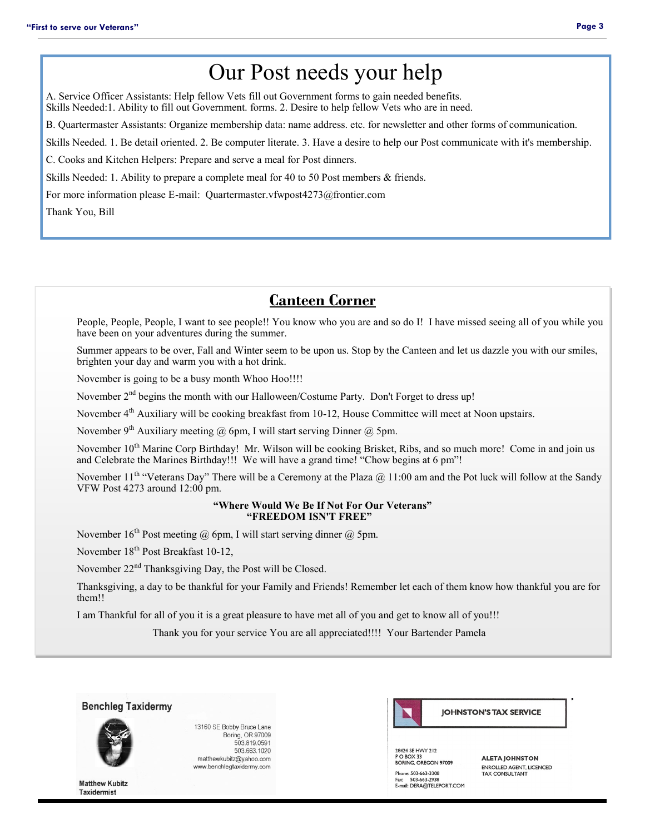# Our Post needs your help

A. Service Officer Assistants: Help fellow Vets fill out Government forms to gain needed benefits. Skills Needed:1. Ability to fill out Government. forms. 2. Desire to help fellow Vets who are in need.

B. Quartermaster Assistants: Organize membership data: name address. etc. for newsletter and other forms of communication.

Skills Needed. 1. Be detail oriented. 2. Be computer literate. 3. Have a desire to help our Post communicate with it's membership.

C. Cooks and Kitchen Helpers: Prepare and serve a meal for Post dinners.

Skills Needed: 1. Ability to prepare a complete meal for 40 to 50 Post members & friends.

For more information please E-mail: Quartermaster.vfwpost4273@frontier.com

Thank You, Bill

## **Canteen Corner**

People, People, People, I want to see people!! You know who you are and so do I! I have missed seeing all of you while you have been on your adventures during the summer.

Summer appears to be over, Fall and Winter seem to be upon us. Stop by the Canteen and let us dazzle you with our smiles, brighten your day and warm you with a hot drink.

November is going to be a busy month Whoo Hoo!!!!

November 2<sup>nd</sup> begins the month with our Halloween/Costume Party. Don't Forget to dress up!

November 4<sup>th</sup> Auxiliary will be cooking breakfast from 10-12, House Committee will meet at Noon upstairs.

November 9<sup>th</sup> Auxiliary meeting @ 6pm, I will start serving Dinner @ 5pm.

November 10<sup>th</sup> Marine Corp Birthday! Mr. Wilson will be cooking Brisket, Ribs, and so much more! Come in and join us and Celebrate the Marines Birthday!!! We will have a grand time! "Chow begins at 6 pm"!

November 11<sup>th</sup> "Veterans Day" There will be a Ceremony at the Plaza @ 11:00 am and the Pot luck will follow at the Sandy VFW Post 4273 around 12:00 pm.

#### **"Where Would We Be If Not For Our Veterans" "FREEDOM ISN'T FREE"**

November  $16<sup>th</sup>$  Post meeting  $@$  6pm, I will start serving dinner  $@$  5pm.

November 18<sup>th</sup> Post Breakfast 10-12,

November 22<sup>nd</sup> Thanksgiving Day, the Post will be Closed.

Thanksgiving, a day to be thankful for your Family and Friends! Remember let each of them know how thankful you are for them!!

I am Thankful for all of you it is a great pleasure to have met all of you and get to know all of you!!!

Thank you for your service You are all appreciated!!!! Your Bartender Pamela



13160 SE Bobby Bruce Lane Boring, OR 97009 503.819.0591 503.663.1020 matthewkubitz@yahoo.com www.benchlegtaxidermy.com



28424 SE HWY 212 20424 SE HWT 212<br>P O BOX 33<br>BORING, OREGON 97009 Phone: 503-663-3308 Fax: 503-663-2938<br>E-mail: DERA@TELEPORT.COM

**ALETA JOHNSTON ENROLLED AGENT, LICENCED**<br>TAX CONSULTANT

**Matthew Kubitz Taxidermist**